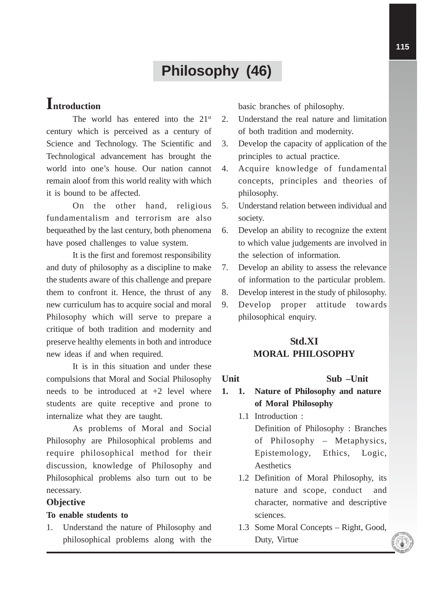# **Philosophy (46)**

## **Introduction**

The world has entered into the 21<sup>st</sup> century which is perceived as a century of Science and Technology. The Scientific and Technological advancement has brought the world into one's house. Our nation cannot remain aloof from this world reality with which it is bound to be affected.

On the other hand, religious fundamentalism and terrorism are also bequeathed by the last century, both phenomena have posed challenges to value system.

It is the first and foremost responsibility and duty of philosophy as a discipline to make the students aware of this challenge and prepare them to confront it. Hence, the thrust of any new curriculum has to acquire social and moral Philosophy which will serve to prepare a critique of both tradition and modernity and preserve healthy elements in both and introduce new ideas if and when required.

It is in this situation and under these compulsions that Moral and Social Philosophy needs to be introduced at  $+2$  level where students are quite receptive and prone to internalize what they are taught.

As problems of Moral and Social Philosophy are Philosophical problems and require philosophical method for their discussion, knowledge of Philosophy and Philosophical problems also turn out to be necessary.

### **Objective**

#### **To enable students to**

1. Understand the nature of Philosophy and philosophical problems along with the basic branches of philosophy.

- 2. Understand the real nature and limitation of both tradition and modernity.
- 3. Develop the capacity of application of the principles to actual practice.
- 4. Acquire knowledge of fundamental concepts, principles and theories of philosophy.
- 5. Understand relation between individual and society.
- 6. Develop an ability to recognize the extent to which value judgements are involved in the selection of information.
- 7. Develop an ability to assess the relevance of information to the particular problem.
- 8. Develop interest in the study of philosophy.
- 9. Develop proper attitude towards philosophical enquiry.

## **Std.XI MORAL PHILOSOPHY**

#### **Unit Sub –Unit**

- **1. 1. Nature of Philosophy and nature of Moral Philosophy**
	- 1.1 Introduction : Definition of Philosophy : Branches of Philosophy – Metaphysics, Epistemology, Ethics, Logic, Aesthetics
	- 1.2 Definition of Moral Philosophy, its nature and scope, conduct and character, normative and descriptive sciences.
	- 1.3 Some Moral Concepts Right, Good, Duty, Virtue